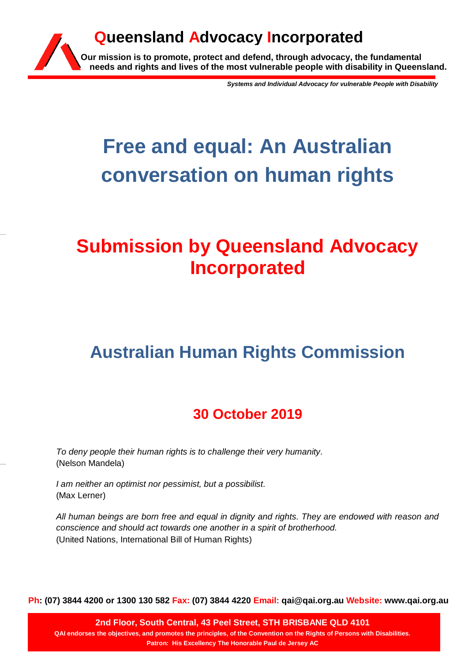

*Systems and Individual Advocacy for vulnerable People with Disability*

# **Free and equal: An Australian conversation on human rights**

## **Submission by Queensland Advocacy Incorporated**

## **Australian Human Rights Commission**

## **30 October 2019**

*To deny people their human rights is to challenge their very humanity.* (Nelson Mandela)

*I am neither an optimist nor pessimist, but a possibilist.* (Max Lerner)

*All human beings are born free and equal in dignity and rights. They are endowed with reason and conscience and should act towards one another in a spirit of brotherhood.* (United Nations, International Bill of Human Rights)

**Ph: (07) 3844 4200 or 1300 130 582 Fax: (07) 3844 4220 Email: qai@qai.org.au Website: www.qai.org.au**

**2nd Floor, South Central, 43 Peel Street, STH BRISBANE QLD 4101 QAI endorses the objectives, and promotes the principles, of the Convention on the Rights of Persons with Disabilities. Patron: His Excellency The Honorable Paul de Jersey AC**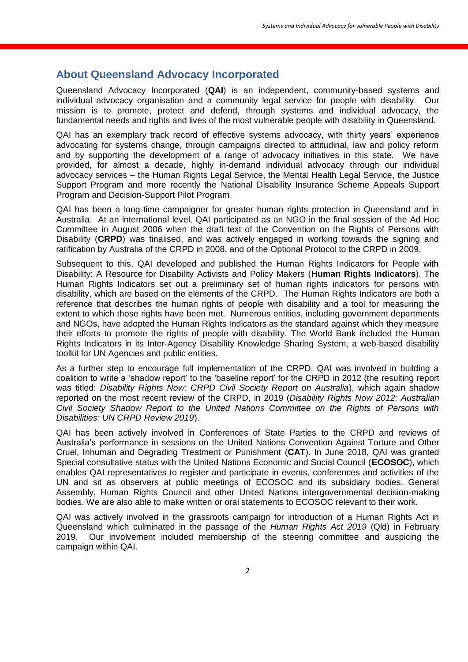### **About Queensland Advocacy Incorporated**

Queensland Advocacy Incorporated (**QAI**) is an independent, community-based systems and individual advocacy organisation and a community legal service for people with disability. Our mission is to promote, protect and defend, through systems and individual advocacy, the fundamental needs and rights and lives of the most vulnerable people with disability in Queensland.

QAI has an exemplary track record of effective systems advocacy, with thirty years' experience advocating for systems change, through campaigns directed to attitudinal, law and policy reform and by supporting the development of a range of advocacy initiatives in this state. We have provided, for almost a decade, highly in-demand individual advocacy through our individual advocacy services – the Human Rights Legal Service, the Mental Health Legal Service, the Justice Support Program and more recently the National Disability Insurance Scheme Appeals Support Program and Decision-Support Pilot Program.

QAI has been a long-time campaigner for greater human rights protection in Queensland and in Australia. At an international level, QAI participated as an NGO in the final session of the Ad Hoc Committee in August 2006 when the draft text of the Convention on the Rights of Persons with Disability (**CRPD**) was finalised, and was actively engaged in working towards the signing and ratification by Australia of the CRPD in 2008, and of the Optional Protocol to the CRPD in 2009.

Subsequent to this, QAI developed and published the Human Rights Indicators for People with Disability: A Resource for Disability Activists and Policy Makers (**Human Rights Indicators**). The Human Rights Indicators set out a preliminary set of human rights indicators for persons with disability, which are based on the elements of the CRPD. The Human Rights Indicators are both a reference that describes the human rights of people with disability and a tool for measuring the extent to which those rights have been met. Numerous entities, including government departments and NGOs, have adopted the Human Rights Indicators as the standard against which they measure their efforts to promote the rights of people with disability. The World Bank included the Human Rights Indicators in its Inter-Agency Disability Knowledge Sharing System, a web-based disability toolkit for UN Agencies and public entities.

As a further step to encourage full implementation of the CRPD, QAI was involved in building a coalition to write a 'shadow report' to the 'baseline report' for the CRPD in 2012 (the resulting report was titled: *Disability Rights Now: CRPD Civil Society Report on Australia*), which again shadow reported on the most recent review of the CRPD, in 2019 (*Disability Rights Now 2012: Australian Civil Society Shadow Report to the United Nations Committee on the Rights of Persons with Disabilities: UN CRPD Review 2019*).

QAI has been actively involved in Conferences of State Parties to the CRPD and reviews of Australia's performance in sessions on the United Nations Convention Against Torture and Other Cruel, Inhuman and Degrading Treatment or Punishment (**CAT**). In June 2018, QAI was granted Special consultative status with the United Nations Economic and Social Council (**ECOSOC**), which enables QAI representatives to register and participate in events, conferences and activities of the UN and sit as observers at public meetings of ECOSOC and its subsidiary bodies, General Assembly, Human Rights Council and other United Nations intergovernmental decision-making bodies. We are also able to make written or oral statements to ECOSOC relevant to their work.

QAI was actively involved in the grassroots campaign for introduction of a Human Rights Act in Queensland which culminated in the passage of the *Human Rights Act 2019* (Qld) in February 2019. Our involvement included membership of the steering committee and auspicing the campaign within QAI.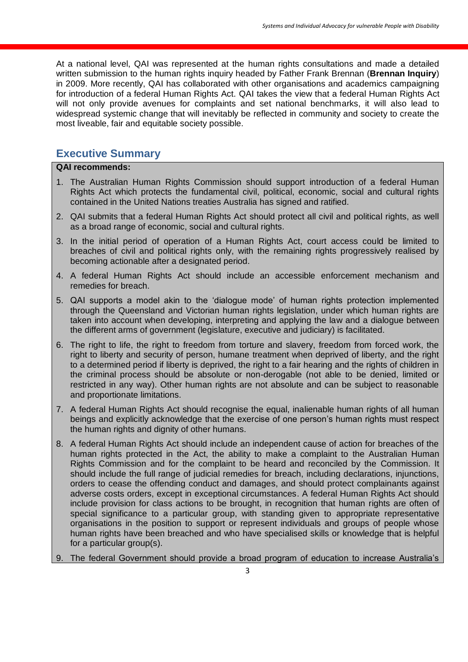At a national level, QAI was represented at the human rights consultations and made a detailed written submission to the human rights inquiry headed by Father Frank Brennan (**Brennan Inquiry**) in 2009. More recently, QAI has collaborated with other organisations and academics campaigning for introduction of a federal Human Rights Act. QAI takes the view that a federal Human Rights Act will not only provide avenues for complaints and set national benchmarks, it will also lead to widespread systemic change that will inevitably be reflected in community and society to create the most liveable, fair and equitable society possible.

## **Executive Summary**

#### **QAI recommends:**

- 1. The Australian Human Rights Commission should support introduction of a federal Human Rights Act which protects the fundamental civil, political, economic, social and cultural rights contained in the United Nations treaties Australia has signed and ratified.
- 2. QAI submits that a federal Human Rights Act should protect all civil and political rights, as well as a broad range of economic, social and cultural rights.
- 3. In the initial period of operation of a Human Rights Act, court access could be limited to breaches of civil and political rights only, with the remaining rights progressively realised by becoming actionable after a designated period.
- 4. A federal Human Rights Act should include an accessible enforcement mechanism and remedies for breach.
- 5. QAI supports a model akin to the 'dialogue mode' of human rights protection implemented through the Queensland and Victorian human rights legislation, under which human rights are taken into account when developing, interpreting and applying the law and a dialogue between the different arms of government (legislature, executive and judiciary) is facilitated.
- 6. The right to life, the right to freedom from torture and slavery, freedom from forced work, the right to liberty and security of person, humane treatment when deprived of liberty, and the right to a determined period if liberty is deprived, the right to a fair hearing and the rights of children in the criminal process should be absolute or non-derogable (not able to be denied, limited or restricted in any way). Other human rights are not absolute and can be subject to reasonable and proportionate limitations.
- 7. A federal Human Rights Act should recognise the equal, inalienable human rights of all human beings and explicitly acknowledge that the exercise of one person's human rights must respect the human rights and dignity of other humans.
- 8. A federal Human Rights Act should include an independent cause of action for breaches of the human rights protected in the Act, the ability to make a complaint to the Australian Human Rights Commission and for the complaint to be heard and reconciled by the Commission. It should include the full range of judicial remedies for breach, including declarations, injunctions, orders to cease the offending conduct and damages, and should protect complainants against adverse costs orders, except in exceptional circumstances. A federal Human Rights Act should include provision for class actions to be brought, in recognition that human rights are often of special significance to a particular group, with standing given to appropriate representative organisations in the position to support or represent individuals and groups of people whose human rights have been breached and who have specialised skills or knowledge that is helpful for a particular group(s).
- 9. The federal Government should provide a broad program of education to increase Australia's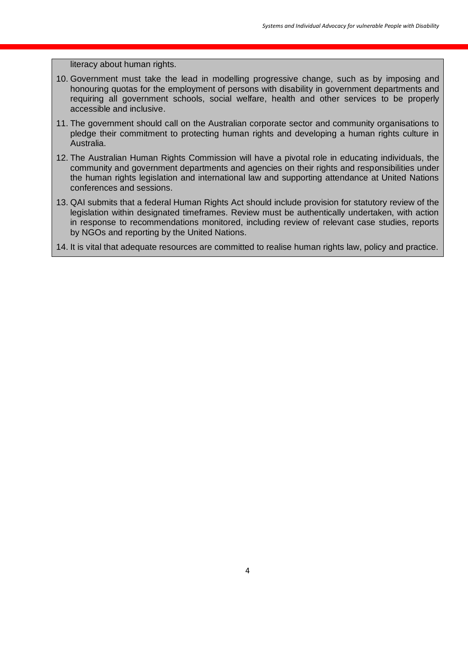literacy about human rights.

- 10. Government must take the lead in modelling progressive change, such as by imposing and honouring quotas for the employment of persons with disability in government departments and requiring all government schools, social welfare, health and other services to be properly accessible and inclusive.
- 11. The government should call on the Australian corporate sector and community organisations to pledge their commitment to protecting human rights and developing a human rights culture in Australia.
- 12. The Australian Human Rights Commission will have a pivotal role in educating individuals, the community and government departments and agencies on their rights and responsibilities under the human rights legislation and international law and supporting attendance at United Nations conferences and sessions.
- 13. QAI submits that a federal Human Rights Act should include provision for statutory review of the legislation within designated timeframes. Review must be authentically undertaken, with action in response to recommendations monitored, including review of relevant case studies, reports by NGOs and reporting by the United Nations.
- 14. It is vital that adequate resources are committed to realise human rights law, policy and practice.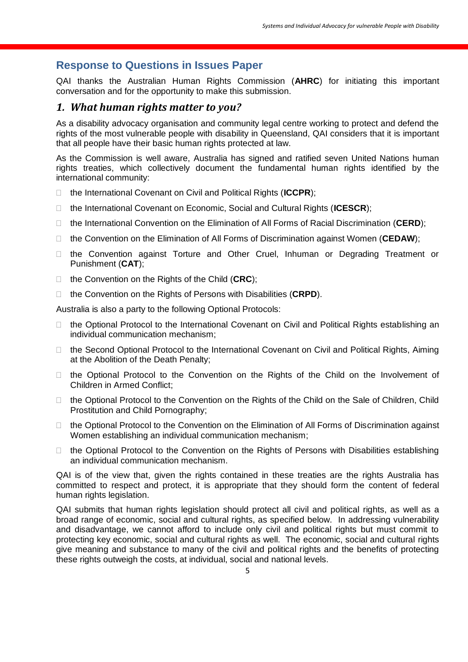## **Response to Questions in Issues Paper**

QAI thanks the Australian Human Rights Commission (**AHRC**) for initiating this important conversation and for the opportunity to make this submission.

### *1. What human rights matter to you?*

As a disability advocacy organisation and community legal centre working to protect and defend the rights of the most vulnerable people with disability in Queensland, QAI considers that it is important that all people have their basic human rights protected at law.

As the Commission is well aware, Australia has signed and ratified seven United Nations human rights treaties, which collectively document the fundamental human rights identified by the international community:

- □ the International Covenant on Civil and Political Rights (ICCPR);
- the International Covenant on Economic, Social and Cultural Rights (**ICESCR**);
- the International Convention on the Elimination of All Forms of Racial Discrimination (**CERD**);
- □ the Convention on the Elimination of All Forms of Discrimination against Women (**CEDAW**);
- the Convention against Torture and Other Cruel, Inhuman or Degrading Treatment or Punishment (**CAT**);
- □ the Convention on the Rights of the Child (CRC);
- □ the Convention on the Rights of Persons with Disabilities (CRPD).

Australia is also a party to the following Optional Protocols:

- □ the Optional Protocol to the International Covenant on Civil and Political Rights establishing an individual communication mechanism;
- □ the Second Optional Protocol to the International Covenant on Civil and Political Rights, Aiming at the Abolition of the Death Penalty;
- $\Box$  the Optional Protocol to the Convention on the Rights of the Child on the Involvement of Children in Armed Conflict;
- □ the Optional Protocol to the Convention on the Rights of the Child on the Sale of Children, Child Prostitution and Child Pornography;
- □ the Optional Protocol to the Convention on the Elimination of All Forms of Discrimination against Women establishing an individual communication mechanism;
- $\Box$  the Optional Protocol to the Convention on the Rights of Persons with Disabilities establishing an individual communication mechanism.

QAI is of the view that, given the rights contained in these treaties are the rights Australia has committed to respect and protect, it is appropriate that they should form the content of federal human rights legislation.

QAI submits that human rights legislation should protect all civil and political rights, as well as a broad range of economic, social and cultural rights, as specified below. In addressing vulnerability and disadvantage, we cannot afford to include only civil and political rights but must commit to protecting key economic, social and cultural rights as well. The economic, social and cultural rights give meaning and substance to many of the civil and political rights and the benefits of protecting these rights outweigh the costs, at individual, social and national levels.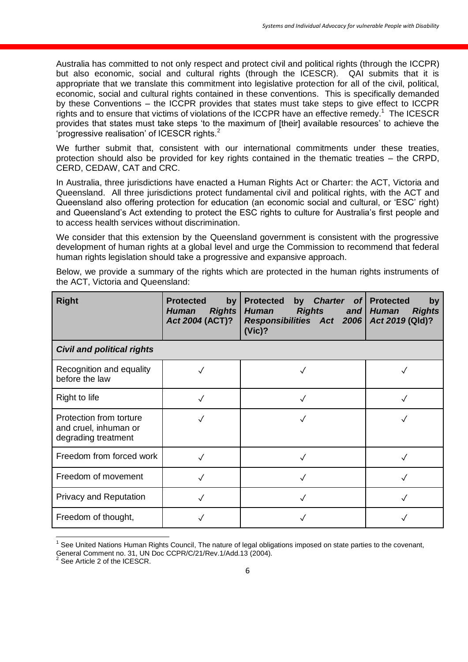Australia has committed to not only respect and protect civil and political rights (through the ICCPR) but also economic, social and cultural rights (through the ICESCR). QAI submits that it is appropriate that we translate this commitment into legislative protection for all of the civil, political, economic, social and cultural rights contained in these conventions. This is specifically demanded by these Conventions – the ICCPR provides that states must take steps to give effect to ICCPR rights and to ensure that victims of violations of the ICCPR have an effective remedy.<sup>1</sup> The ICESCR provides that states must take steps 'to the maximum of [their] available resources' to achieve the 'progressive realisation' of ICESCR rights.<sup>2</sup>

We further submit that, consistent with our international commitments under these treaties, protection should also be provided for key rights contained in the thematic treaties – the CRPD, CERD, CEDAW, CAT and CRC.

In Australia, three jurisdictions have enacted a Human Rights Act or Charter: the ACT, Victoria and Queensland. All three jurisdictions protect fundamental civil and political rights, with the ACT and Queensland also offering protection for education (an economic social and cultural, or 'ESC' right) and Queensland's Act extending to protect the ESC rights to culture for Australia's first people and to access health services without discrimination.

We consider that this extension by the Queensland government is consistent with the progressive development of human rights at a global level and urge the Commission to recommend that federal human rights legislation should take a progressive and expansive approach.

Below, we provide a summary of the rights which are protected in the human rights instruments of the ACT, Victoria and Queensland:

| <b>Right</b>                                                            | <b>Protected</b><br>by<br><b>Rights</b><br>Human<br>Act 2004 (ACT)? | by Charter<br><b>Protected</b><br>of <sub>l</sub><br><b>Rights</b><br><b>Human</b><br>and $\vert$<br>Responsibilities Act 2006<br>(Vic)? | <b>Protected</b><br>by<br><b>Human</b><br><b>Rights</b><br>Act 2019 (Qld)? |
|-------------------------------------------------------------------------|---------------------------------------------------------------------|------------------------------------------------------------------------------------------------------------------------------------------|----------------------------------------------------------------------------|
| <b>Civil and political rights</b>                                       |                                                                     |                                                                                                                                          |                                                                            |
| Recognition and equality<br>before the law                              |                                                                     |                                                                                                                                          |                                                                            |
| Right to life                                                           |                                                                     |                                                                                                                                          |                                                                            |
| Protection from torture<br>and cruel, inhuman or<br>degrading treatment |                                                                     |                                                                                                                                          |                                                                            |
| Freedom from forced work                                                |                                                                     |                                                                                                                                          |                                                                            |
| Freedom of movement                                                     | √                                                                   |                                                                                                                                          |                                                                            |
| <b>Privacy and Reputation</b>                                           |                                                                     |                                                                                                                                          |                                                                            |
| Freedom of thought,                                                     |                                                                     |                                                                                                                                          |                                                                            |

<sup>1</sup> See United Nations Human Rights Council, The nature of legal obligations imposed on state parties to the covenant, General Comment no. 31, UN Doc CCPR/C/21/Rev.1/Add.13 (2004).<br><sup>2</sup> See Article 2 of the ICESCR

See Article 2 of the ICESCR.

 $\overline{\phantom{a}}$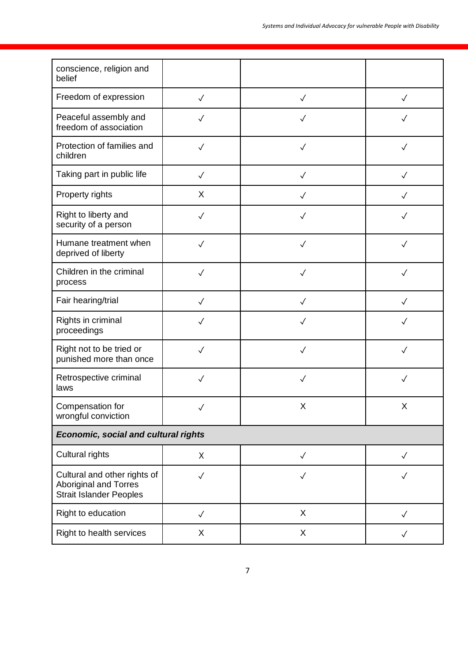| conscience, religion and<br>belief                                                             |              |              |              |  |
|------------------------------------------------------------------------------------------------|--------------|--------------|--------------|--|
| Freedom of expression                                                                          | $\checkmark$ | $\checkmark$ | $\checkmark$ |  |
| Peaceful assembly and<br>freedom of association                                                | $\checkmark$ | ✓            |              |  |
| Protection of families and<br>children                                                         | $\checkmark$ | $\checkmark$ | $\checkmark$ |  |
| Taking part in public life                                                                     | $\checkmark$ | ✓            |              |  |
| Property rights                                                                                | X            | $\checkmark$ | $\sqrt{}$    |  |
| Right to liberty and<br>security of a person                                                   | $\checkmark$ | $\checkmark$ | $\checkmark$ |  |
| Humane treatment when<br>deprived of liberty                                                   | $\checkmark$ | $\sqrt{}$    | $\checkmark$ |  |
| Children in the criminal<br>process                                                            | $\checkmark$ | $\checkmark$ | $\checkmark$ |  |
| Fair hearing/trial                                                                             | $\checkmark$ | $\checkmark$ | $\checkmark$ |  |
| Rights in criminal<br>proceedings                                                              | $\checkmark$ | $\checkmark$ | $\checkmark$ |  |
| Right not to be tried or<br>punished more than once                                            | $\checkmark$ | $\checkmark$ | $\checkmark$ |  |
| Retrospective criminal<br>laws                                                                 | $\checkmark$ | $\checkmark$ | $\checkmark$ |  |
| Compensation for<br>wrongful conviction                                                        |              | X            | Χ            |  |
| <b>Economic, social and cultural rights</b>                                                    |              |              |              |  |
| Cultural rights                                                                                | X            | $\checkmark$ | $\checkmark$ |  |
| Cultural and other rights of<br><b>Aboriginal and Torres</b><br><b>Strait Islander Peoples</b> | $\checkmark$ | $\checkmark$ | $\checkmark$ |  |
| Right to education                                                                             | $\checkmark$ | X            | $\checkmark$ |  |
| Right to health services                                                                       | X            | X            | $\checkmark$ |  |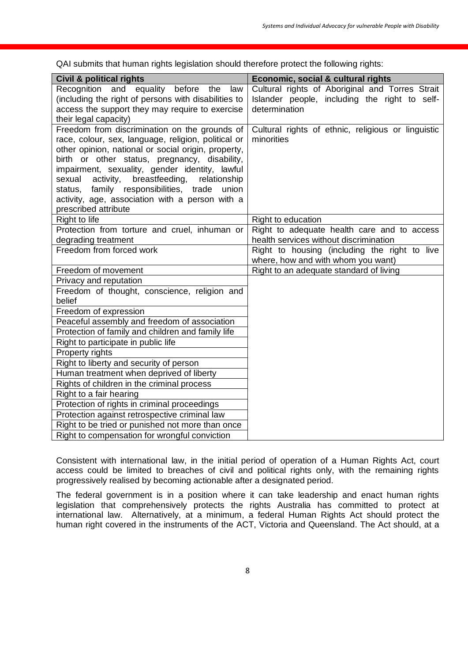**Civil & political rights Economic, social & cultural rights** Recognition and equality before the law (including the right of persons with disabilities to access the support they may require to exercise their legal capacity) Cultural rights of Aboriginal and Torres Strait Islander people, including the right to selfdetermination Freedom from discrimination on the grounds of race, colour, sex, language, religion, political or other opinion, national or social origin, property, birth or other status, pregnancy, disability, impairment, sexuality, gender identity, lawful sexual activity, breastfeeding, relationship status, family responsibilities, trade union activity, age, association with a person with a prescribed attribute Cultural rights of ethnic, religious or linguistic minorities Right to life Right to education Protection from torture and cruel, inhuman or degrading treatment Right to adequate health care and to access health services without discrimination Freedom from forced work **Right to housing (including the right to live** where, how and with whom you want) Freedom of movement **Right to an adequate standard of living** Privacy and reputation Freedom of thought, conscience, religion and belief Freedom of expression Peaceful assembly and freedom of association Protection of family and children and family life Right to participate in public life Property rights Right to liberty and security of person Human treatment when deprived of liberty Rights of children in the criminal process Right to a fair hearing Protection of rights in criminal proceedings Protection against retrospective criminal law Right to be tried or punished not more than once Right to compensation for wrongful conviction

QAI submits that human rights legislation should therefore protect the following rights:

Consistent with international law, in the initial period of operation of a Human Rights Act, court access could be limited to breaches of civil and political rights only, with the remaining rights progressively realised by becoming actionable after a designated period.

The federal government is in a position where it can take leadership and enact human rights legislation that comprehensively protects the rights Australia has committed to protect at international law. Alternatively, at a minimum, a federal Human Rights Act should protect the human right covered in the instruments of the ACT, Victoria and Queensland. The Act should, at a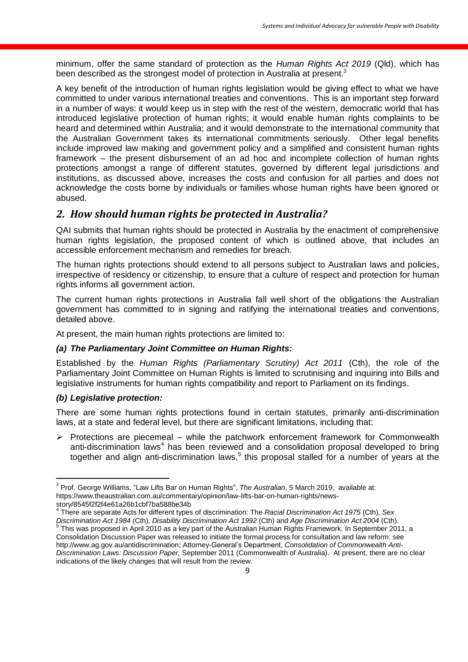minimum, offer the same standard of protection as the *Human Rights Act 2019* (Qld), which has been described as the strongest model of protection in Australia at present.<sup>3</sup>

A key benefit of the introduction of human rights legislation would be giving effect to what we have committed to under various international treaties and conventions. This is an important step forward in a number of ways: it would keep us in step with the rest of the western, democratic world that has introduced legislative protection of human rights; it would enable human rights complaints to be heard and determined within Australia; and it would demonstrate to the international community that the Australian Government takes its international commitments seriously. Other legal benefits include improved law making and government policy and a simplified and consistent human rights framework – the present disbursement of an ad hoc and incomplete collection of human rights protections amongst a range of different statutes, governed by different legal jurisdictions and institutions, as discussed above, increases the costs and confusion for all parties and does not acknowledge the costs borne by individuals or families whose human rights have been ignored or abused.

## *2. How should human rights be protected in Australia?*

QAI submits that human rights should be protected in Australia by the enactment of comprehensive human rights legislation, the proposed content of which is outlined above, that includes an accessible enforcement mechanism and remedies for breach.

The human rights protections should extend to all persons subject to Australian laws and policies, irrespective of residency or citizenship, to ensure that a culture of respect and protection for human rights informs all government action.

The current human rights protections in Australia fall well short of the obligations the Australian government has committed to in signing and ratifying the international treaties and conventions, detailed above.

At present, the main human rights protections are limited to:

#### *(a) The Parliamentary Joint Committee on Human Rights:*

Established by the *Human Rights (Parliamentary Scrutiny) Act 2011* (Cth), the role of the Parliamentary Joint Committee on Human Rights is limited to scrutinising and inquiring into Bills and legislative instruments for human rights compatibility and report to Parliament on its findings.

#### *(b) Legislative protection:*

There are some human rights protections found in certain statutes, primarily anti-discrimination laws, at a state and federal level, but there are significant limitations, including that:

 $\triangleright$  Protections are piecemeal – while the patchwork enforcement framework for Commonwealth anti-discrimination laws<sup>4</sup> has been reviewed and a consolidation proposal developed to bring together and align anti-discrimination laws, $5$  this proposal stalled for a number of years at the

 3 Prof. George Williams, "Law Lifts Bar on Human Rights", *The Australian*, 5 March 2019, available at: https://www.theaustralian.com.au/commentary/opinion/law-lifts-bar-on-human-rights/newsstory/8545f2f2f4e61a26b1cbf7ba588be34b 4

There are separate Acts for different types of discrimination: The *Racial Discrimination Act 1975* (Cth), *Sex Discrimination Act 1984* (Cth), *Disability Discrimination Act 1992* (Cth) and *Age Discrimination Act 2004* (Cth).

 $^5$  This was proposed in April 2010 as a key part of the Australian Human Rights Framework. In September 2011, a Consolidation Discussion Paper was released to initiate the formal process for consultation and law reform: see [http://www.ag.gov.au/antidiscrimination;](http://www.ag.gov.au/antidiscrimination) Attorney-General's Department, *Consolidation of Commonwealth Anti-Discrimination Laws: Discussion Paper,* September 2011 (Commonwealth of Australia). At present, there are no clear indications of the likely changes that will result from the review.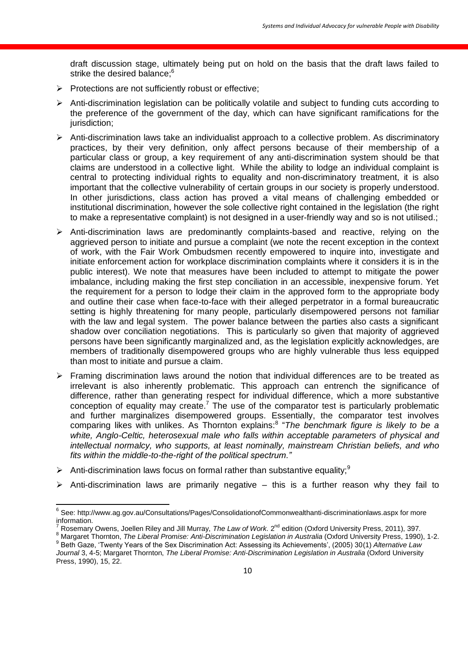draft discussion stage, ultimately being put on hold on the basis that the draft laws failed to strike the desired balance;<sup>6</sup>

- $\triangleright$  Protections are not sufficiently robust or effective;
- $\triangleright$  Anti-discrimination legislation can be politically volatile and subject to funding cuts according to the preference of the government of the day, which can have significant ramifications for the jurisdiction;
- $\triangleright$  Anti-discrimination laws take an individualist approach to a collective problem. As discriminatory practices, by their very definition, only affect persons because of their membership of a particular class or group, a key requirement of any anti-discrimination system should be that claims are understood in a collective light. While the ability to lodge an individual complaint is central to protecting individual rights to equality and non-discriminatory treatment, it is also important that the collective vulnerability of certain groups in our society is properly understood. In other jurisdictions, class action has proved a vital means of challenging embedded or institutional discrimination, however the sole collective right contained in the legislation (the right to make a representative complaint) is not designed in a user-friendly way and so is not utilised.;
- Anti-discrimination laws are predominantly complaints-based and reactive, relying on the aggrieved person to initiate and pursue a complaint (we note the recent exception in the context of work, with the Fair Work Ombudsmen recently empowered to inquire into, investigate and initiate enforcement action for workplace discrimination complaints where it considers it is in the public interest). We note that measures have been included to attempt to mitigate the power imbalance, including making the first step conciliation in an accessible, inexpensive forum. Yet the requirement for a person to lodge their claim in the approved form to the appropriate body and outline their case when face-to-face with their alleged perpetrator in a formal bureaucratic setting is highly threatening for many people, particularly disempowered persons not familiar with the law and legal system. The power balance between the parties also casts a significant shadow over conciliation negotiations. This is particularly so given that majority of aggrieved persons have been significantly marginalized and, as the legislation explicitly acknowledges, are members of traditionally disempowered groups who are highly vulnerable thus less equipped than most to initiate and pursue a claim.
- $\triangleright$  Framing discrimination laws around the notion that individual differences are to be treated as irrelevant is also inherently problematic. This approach can entrench the significance of difference, rather than generating respect for individual difference, which a more substantive conception of equality may create.<sup>7</sup> The use of the comparator test is particularly problematic and further marginalizes disempowered groups. Essentially, the comparator test involves comparing likes with unlikes. As Thornton explains:<sup>8</sup> "The benchmark figure is likely to be a *white, Anglo-Celtic, heterosexual male who falls within acceptable parameters of physical and intellectual normalcy, who supports, at least nominally, mainstream Christian beliefs, and who fits within the middle-to-the-right of the political spectrum."*
- Anti-discrimination laws focus on formal rather than substantive equality;<sup>9</sup>
- $\triangleright$  Anti-discrimination laws are primarily negative this is a further reason why they fail to

 6 See:<http://www.ag.gov.au/Consultations/Pages/ConsolidationofCommonwealthanti-discriminationlaws.aspx> for more information.

Rosemary Owens, Joellen Riley and Jill Murray, *The Law of Work*. 2<sup>nd</sup> edition (Oxford University Press, 2011), 397.

<sup>8</sup> Nargaret Thornton, *The Liberal Promise: Anti-Discrimination Legislation in Australia* (Oxford University Press, 1990), 1-2. 9 Beth Gaze, 'Twenty Years of the Sex Discrimination Act: Assessing its Achievements', (2005) 30(1) *Alternative Law Journal* 3, 4-5; Margaret Thornton, *The Liberal Promise: Anti-Discrimination Legislation in Australia* (Oxford University Press, 1990), 15, 22.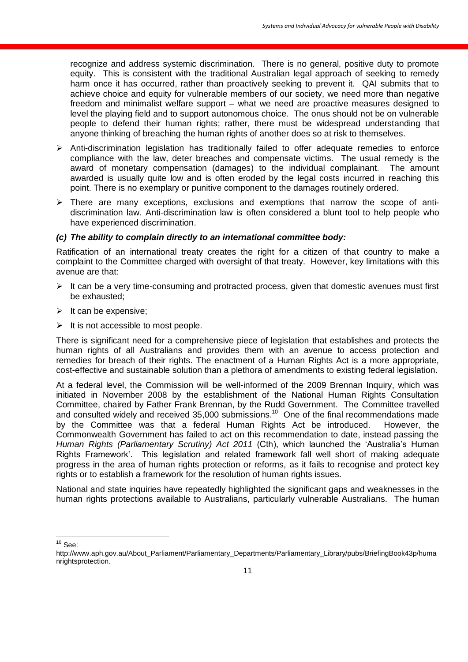recognize and address systemic discrimination. There is no general, positive duty to promote equity. This is consistent with the traditional Australian legal approach of seeking to remedy harm once it has occurred, rather than proactively seeking to prevent it. QAI submits that to achieve choice and equity for vulnerable members of our society, we need more than negative freedom and minimalist welfare support – what we need are proactive measures designed to level the playing field and to support autonomous choice. The onus should not be on vulnerable people to defend their human rights; rather, there must be widespread understanding that anyone thinking of breaching the human rights of another does so at risk to themselves.

- $\triangleright$  Anti-discrimination legislation has traditionally failed to offer adequate remedies to enforce compliance with the law, deter breaches and compensate victims. The usual remedy is the award of monetary compensation (damages) to the individual complainant. The amount awarded is usually quite low and is often eroded by the legal costs incurred in reaching this point. There is no exemplary or punitive component to the damages routinely ordered.
- $\triangleright$  There are many exceptions, exclusions and exemptions that narrow the scope of antidiscrimination law. Anti-discrimination law is often considered a blunt tool to help people who have experienced discrimination.

#### *(c) The ability to complain directly to an international committee body:*

Ratification of an international treaty creates the right for a citizen of that country to make a complaint to the Committee charged with oversight of that treaty. However, key limitations with this avenue are that:

- $\triangleright$  It can be a very time-consuming and protracted process, given that domestic avenues must first be exhausted;
- $\triangleright$  It can be expensive;
- $\triangleright$  It is not accessible to most people.

There is significant need for a comprehensive piece of legislation that establishes and protects the human rights of all Australians and provides them with an avenue to access protection and remedies for breach of their rights. The enactment of a Human Rights Act is a more appropriate, cost-effective and sustainable solution than a plethora of amendments to existing federal legislation.

At a federal level, the Commission will be well-informed of the 2009 Brennan Inquiry, which was initiated in November 2008 by the establishment of the National Human Rights Consultation Committee, chaired by Father Frank Brennan, by the Rudd Government. The Committee travelled and consulted widely and received 35,000 submissions.<sup>10</sup> One of the final recommendations made by the Committee was that a federal Human Rights Act be introduced. However, the Commonwealth Government has failed to act on this recommendation to date, instead passing the *Human Rights (Parliamentary Scrutiny) Act 2011* (Cth), which launched the 'Australia's Human Rights Framework'. This legislation and related framework fall well short of making adequate progress in the area of human rights protection or reforms, as it fails to recognise and protect key rights or to establish a framework for the resolution of human rights issues.

National and state inquiries have repeatedly highlighted the significant gaps and weaknesses in the human rights protections available to Australians, particularly vulnerable Australians. The human

 $\overline{\phantom{a}}$  $10$  See:

[http://www.aph.gov.au/About\\_Parliament/Parliamentary\\_Departments/Parliamentary\\_Library/pubs/BriefingBook43p/huma](http://www.aph.gov.au/About_Parliament/Parliamentary_Departments/Parliamentary_Library/pubs/BriefingBook43p/humanrightsprotection) [nrightsprotection.](http://www.aph.gov.au/About_Parliament/Parliamentary_Departments/Parliamentary_Library/pubs/BriefingBook43p/humanrightsprotection)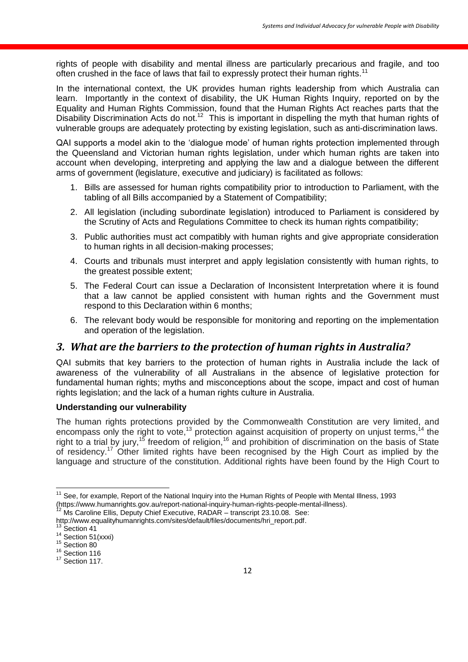rights of people with disability and mental illness are particularly precarious and fragile, and too often crushed in the face of laws that fail to expressly protect their human rights.<sup>11</sup>

In the international context, the UK provides human rights leadership from which Australia can learn. Importantly in the context of disability, the UK Human Rights Inquiry, reported on by the Equality and Human Rights Commission, found that the Human Rights Act reaches parts that the Disability Discrimination Acts do not.<sup>12</sup> This is important in dispelling the myth that human rights of vulnerable groups are adequately protecting by existing legislation, such as anti-discrimination laws.

QAI supports a model akin to the 'dialogue mode' of human rights protection implemented through the Queensland and Victorian human rights legislation, under which human rights are taken into account when developing, interpreting and applying the law and a dialogue between the different arms of government (legislature, executive and judiciary) is facilitated as follows:

- 1. Bills are assessed for human rights compatibility prior to introduction to Parliament, with the tabling of all Bills accompanied by a Statement of Compatibility;
- 2. All legislation (including subordinate legislation) introduced to Parliament is considered by the Scrutiny of Acts and Regulations Committee to check its human rights compatibility;
- 3. Public authorities must act compatibly with human rights and give appropriate consideration to human rights in all decision-making processes;
- 4. Courts and tribunals must interpret and apply legislation consistently with human rights, to the greatest possible extent;
- 5. The Federal Court can issue a Declaration of Inconsistent Interpretation where it is found that a law cannot be applied consistent with human rights and the Government must respond to this Declaration within 6 months;
- 6. The relevant body would be responsible for monitoring and reporting on the implementation and operation of the legislation.

## *3. What are the barriers to the protection of human rights in Australia?*

QAI submits that key barriers to the protection of human rights in Australia include the lack of awareness of the vulnerability of all Australians in the absence of legislative protection for fundamental human rights; myths and misconceptions about the scope, impact and cost of human rights legislation; and the lack of a human rights culture in Australia.

#### **Understanding our vulnerability**

The human rights protections provided by the Commonwealth Constitution are very limited, and encompass only the right to vote, $^{13}$  protection against acquisition of property on unjust terms,  $^{14}$  the right to a trial by jury,<sup>15</sup> freedom of religion,<sup>16</sup> and prohibition of discrimination on the basis of State of residency.<sup>17</sup> Other limited rights have been recognised by the High Court as implied by the language and structure of the constitution. Additional rights have been found by the High Court to

 $\overline{\phantom{a}}$ <sup>11</sup> See, for example, Report of the National Inquiry into the Human Rights of People with Mental Illness, 1993 [\(https://www.humanrights.gov.au/report-national-inquiry-human-rights-people-mental-illness\)](https://www.humanrights.gov.au/report-national-inquiry-human-rights-people-mental-illness).

Ms Caroline Ellis, Deputy Chief Executive, RADAR – transcript 23.10.08. See:

[http://www.equalityhumanrights.com/sites/default/files/documents/hri\\_report.pdf.](http://www.equalityhumanrights.com/sites/default/files/documents/hri_report.pdf)

 $13$  Section 41

 $14$  Section 51(xxxi) <sup>15</sup> Section 80

<sup>&</sup>lt;sup>16</sup> Section 116  $17$  Section 117.

<sup>12</sup>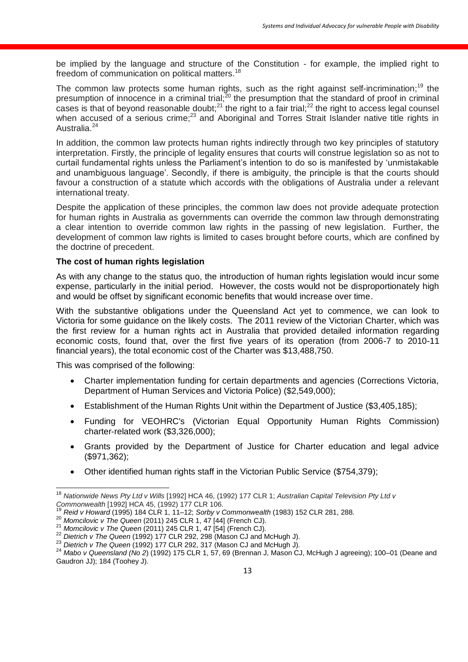be implied by the language and structure of the Constitution - for example, the implied right to freedom of communication on political matters.<sup>18</sup>

The common law protects some human rights, such as the right against self-incrimination;<sup>19</sup> the presumption of innocence in a criminal trial;<sup>20</sup> the presumption that the standard of proof in criminal cases is that of beyond reasonable doubt;  $21$  the right to a fair trial;  $22$  the right to access legal counsel when accused of a serious crime;<sup>23</sup> and Aboriginal and Torres Strait Islander native title rights in Australia.<sup>24</sup>

In addition, the common law protects human rights indirectly through two key principles of statutory interpretation. Firstly, the principle of legality ensures that courts will construe legislation so as not to curtail fundamental rights unless the Parliament's intention to do so is manifested by 'unmistakable and unambiguous language'. Secondly, if there is ambiguity, the principle is that the courts should favour a construction of a statute which accords with the obligations of Australia under a relevant international treaty.

Despite the application of these principles, the common law does not provide adequate protection for human rights in Australia as governments can override the common law through demonstrating a clear intention to override common law rights in the passing of new legislation. Further, the development of common law rights is limited to cases brought before courts, which are confined by the doctrine of precedent.

#### **The cost of human rights legislation**

As with any change to the status quo, the introduction of human rights legislation would incur some expense, particularly in the initial period. However, the costs would not be disproportionately high and would be offset by significant economic benefits that would increase over time.

With the substantive obligations under the Queensland Act yet to commence, we can look to Victoria for some guidance on the likely costs. The 2011 review of the Victorian Charter, which was the first review for a human rights act in Australia that provided detailed information regarding economic costs, found that, over the first five years of its operation (from 2006-7 to 2010-11 financial years), the total economic cost of the Charter was \$13,488,750.

This was comprised of the following:

- Charter implementation funding for certain departments and agencies (Corrections Victoria, Department of Human Services and Victoria Police) (\$2,549,000);
- Establishment of the Human Rights Unit within the Department of Justice (\$3,405,185);
- Funding for VEOHRC's (Victorian Equal Opportunity Human Rights Commission) charter‐related work (\$3,326,000);
- Grants provided by the Department of Justice for Charter education and legal advice (\$971,362);
- Other identified human rights staff in the Victorian Public Service (\$754,379);

 $\overline{\phantom{a}}$ <sup>18</sup> *Nationwide News Pty Ltd v Wills* [1992] HCA 46, (1992) 177 CLR 1; *Australian Capital Television Pty Ltd v Commonwealth* [1992] HCA 45, (1992) 177 CLR 106.

<sup>19</sup> *Reid v Howard* (1995) 184 CLR 1, 11–12; *Sorby v Commonwealth* (1983) 152 CLR 281, 288.

<sup>20</sup> *Momcilovic v The Queen* (2011) 245 CLR 1, 47 [44] (French CJ).

<sup>21</sup> *Momcilovic v The Queen* (2011) 245 CLR 1, 47 [54] (French CJ).

<sup>&</sup>lt;sup>22</sup> Dietrich v The Queen (1992) 177 CLR 292, 298 (Mason CJ and McHugh J).

<sup>23</sup> *Dietrich v The Queen* (1992) 177 CLR 292, 317 (Mason CJ and McHugh J).

<sup>24</sup> *Mabo v Queensland (No 2*) (1992) 175 CLR 1, 57, 69 (Brennan J, Mason CJ, McHugh J agreeing); 100–01 (Deane and Gaudron JJ); 184 (Toohey J).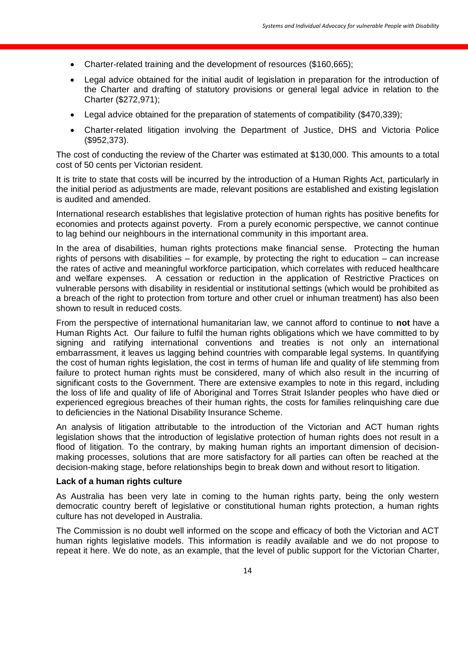- Charter-related training and the development of resources (\$160,665);
- Legal advice obtained for the initial audit of legislation in preparation for the introduction of the Charter and drafting of statutory provisions or general legal advice in relation to the Charter (\$272,971);
- Legal advice obtained for the preparation of statements of compatibility (\$470,339);
- Charter‐related litigation involving the Department of Justice, DHS and Victoria Police (\$952,373).

The cost of conducting the review of the Charter was estimated at \$130,000. This amounts to a total cost of 50 cents per Victorian resident.

It is trite to state that costs will be incurred by the introduction of a Human Rights Act, particularly in the initial period as adjustments are made, relevant positions are established and existing legislation is audited and amended.

International research establishes that legislative protection of human rights has positive benefits for economies and protects against poverty. From a purely economic perspective, we cannot continue to lag behind our neighbours in the international community in this important area.

In the area of disabilities, human rights protections make financial sense. Protecting the human rights of persons with disabilities – for example, by protecting the right to education – can increase the rates of active and meaningful workforce participation, which correlates with reduced healthcare and welfare expenses. A cessation or reduction in the application of Restrictive Practices on vulnerable persons with disability in residential or institutional settings (which would be prohibited as a breach of the right to protection from torture and other cruel or inhuman treatment) has also been shown to result in reduced costs.

From the perspective of international humanitarian law, we cannot afford to continue to **not** have a Human Rights Act. Our failure to fulfil the human rights obligations which we have committed to by signing and ratifying international conventions and treaties is not only an international embarrassment, it leaves us lagging behind countries with comparable legal systems. In quantifying the cost of human rights legislation, the cost in terms of human life and quality of life stemming from failure to protect human rights must be considered, many of which also result in the incurring of significant costs to the Government. There are extensive examples to note in this regard, including the loss of life and quality of life of Aboriginal and Torres Strait Islander peoples who have died or experienced egregious breaches of their human rights, the costs for families relinquishing care due to deficiencies in the National Disability Insurance Scheme.

An analysis of litigation attributable to the introduction of the Victorian and ACT human rights legislation shows that the introduction of legislative protection of human rights does not result in a flood of litigation. To the contrary, by making human rights an important dimension of decisionmaking processes, solutions that are more satisfactory for all parties can often be reached at the decision-making stage, before relationships begin to break down and without resort to litigation.

#### **Lack of a human rights culture**

As Australia has been very late in coming to the human rights party, being the only western democratic country bereft of legislative or constitutional human rights protection, a human rights culture has not developed in Australia.

The Commission is no doubt well informed on the scope and efficacy of both the Victorian and ACT human rights legislative models. This information is readily available and we do not propose to repeat it here. We do note, as an example, that the level of public support for the Victorian Charter,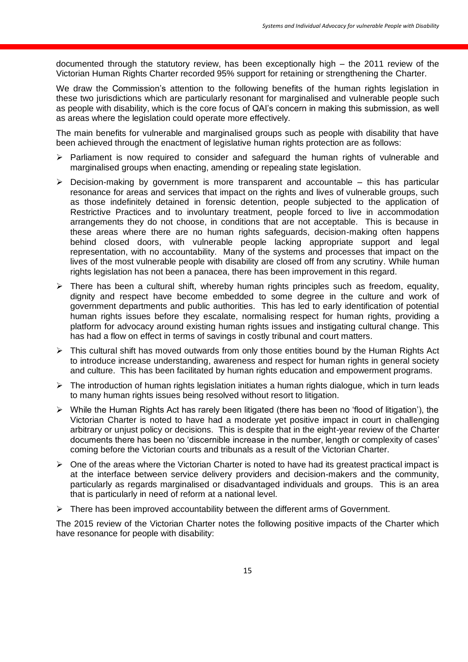documented through the statutory review, has been exceptionally high – the 2011 review of the Victorian Human Rights Charter recorded 95% support for retaining or strengthening the Charter.

We draw the Commission's attention to the following benefits of the human rights legislation in these two jurisdictions which are particularly resonant for marginalised and vulnerable people such as people with disability, which is the core focus of QAI's concern in making this submission, as well as areas where the legislation could operate more effectively.

The main benefits for vulnerable and marginalised groups such as people with disability that have been achieved through the enactment of legislative human rights protection are as follows:

- $\triangleright$  Parliament is now required to consider and safeguard the human rights of vulnerable and marginalised groups when enacting, amending or repealing state legislation.
- $\triangleright$  Decision-making by government is more transparent and accountable this has particular resonance for areas and services that impact on the rights and lives of vulnerable groups, such as those indefinitely detained in forensic detention, people subjected to the application of Restrictive Practices and to involuntary treatment, people forced to live in accommodation arrangements they do not choose, in conditions that are not acceptable. This is because in these areas where there are no human rights safeguards, decision-making often happens behind closed doors, with vulnerable people lacking appropriate support and legal representation, with no accountability. Many of the systems and processes that impact on the lives of the most vulnerable people with disability are closed off from any scrutiny. While human rights legislation has not been a panacea, there has been improvement in this regard.
- $\triangleright$  There has been a cultural shift, whereby human rights principles such as freedom, equality, dignity and respect have become embedded to some degree in the culture and work of government departments and public authorities. This has led to early identification of potential human rights issues before they escalate, normalising respect for human rights, providing a platform for advocacy around existing human rights issues and instigating cultural change. This has had a flow on effect in terms of savings in costly tribunal and court matters.
- $\triangleright$  This cultural shift has moved outwards from only those entities bound by the Human Rights Act to introduce increase understanding, awareness and respect for human rights in general society and culture. This has been facilitated by human rights education and empowerment programs.
- $\triangleright$  The introduction of human rights legislation initiates a human rights dialogue, which in turn leads to many human rights issues being resolved without resort to litigation.
- $\triangleright$  While the Human Rights Act has rarely been litigated (there has been no 'flood of litigation'), the Victorian Charter is noted to have had a moderate yet positive impact in court in challenging arbitrary or unjust policy or decisions. This is despite that in the eight-year review of the Charter documents there has been no 'discernible increase in the number, length or complexity of cases' coming before the Victorian courts and tribunals as a result of the Victorian Charter.
- $\triangleright$  One of the areas where the Victorian Charter is noted to have had its greatest practical impact is at the interface between service delivery providers and decision-makers and the community, particularly as regards marginalised or disadvantaged individuals and groups. This is an area that is particularly in need of reform at a national level.
- $\triangleright$  There has been improved accountability between the different arms of Government.

The 2015 review of the Victorian Charter notes the following positive impacts of the Charter which have resonance for people with disability: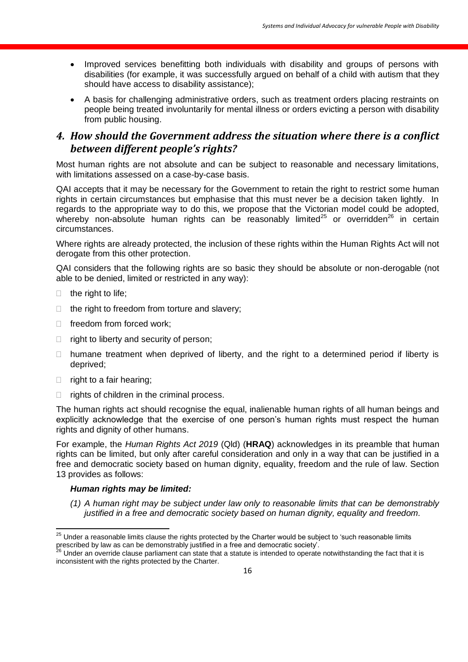- Improved services benefitting both individuals with disability and groups of persons with disabilities (for example, it was successfully argued on behalf of a child with autism that they should have access to disability assistance);
- A basis for challenging administrative orders, such as treatment orders placing restraints on people being treated involuntarily for mental illness or orders evicting a person with disability from public housing.

## *4. How should the Government address the situation where there is a conflict between different people's rights?*

Most human rights are not absolute and can be subject to reasonable and necessary limitations, with limitations assessed on a case-by-case basis.

QAI accepts that it may be necessary for the Government to retain the right to restrict some human rights in certain circumstances but emphasise that this must never be a decision taken lightly. In regards to the appropriate way to do this, we propose that the Victorian model could be adopted, whereby non-absolute human rights can be reasonably limited<sup>25</sup> or overridden<sup>26</sup> in certain circumstances.

Where rights are already protected, the inclusion of these rights within the Human Rights Act will not derogate from this other protection.

QAI considers that the following rights are so basic they should be absolute or non-derogable (not able to be denied, limited or restricted in any way):

- $\Box$  the right to life;
- $\Box$  the right to freedom from torture and slavery;
- $\Box$  freedom from forced work:
- $\Box$  right to liberty and security of person;
- $\Box$  humane treatment when deprived of liberty, and the right to a determined period if liberty is deprived;
- $\Box$  right to a fair hearing;
- $\Box$  rights of children in the criminal process.

The human rights act should recognise the equal, inalienable human rights of all human beings and explicitly acknowledge that the exercise of one person's human rights must respect the human rights and dignity of other humans.

For example, the *Human Rights Act 2019* (Qld) (**HRAQ**) acknowledges in its preamble that human rights can be limited, but only after careful consideration and only in a way that can be justified in a free and democratic society based on human dignity, equality, freedom and the rule of law. Section 13 provides as follows:

#### *Human rights may be limited:*

*(1) A human right may be subject under law only to reasonable limits that can be demonstrably justified in a free and democratic society based on human dignity, equality and freedom.*

 $\overline{\phantom{a}}$  $^{25}$  Under a reasonable limits clause the rights protected by the Charter would be subject to 'such reasonable limits prescribed by law as can be demonstrably justified in a free and democratic society'.

Under an override clause parliament can state that a statute is intended to operate notwithstanding the fact that it is inconsistent with the rights protected by the Charter.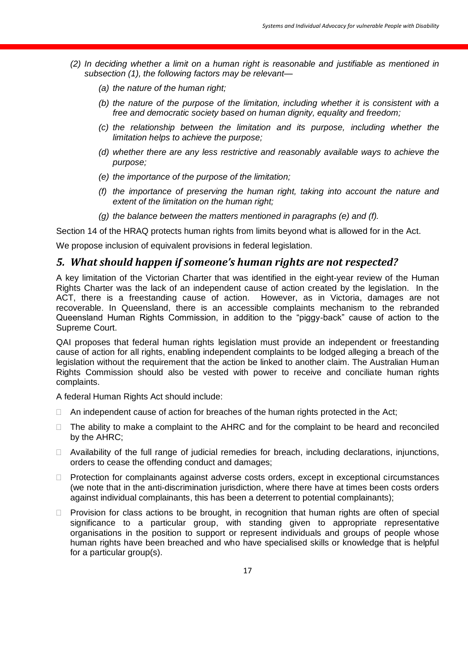- *(2) In deciding whether a limit on a human right is reasonable and justifiable as mentioned in subsection (1), the following factors may be relevant—*
	- *(a) the nature of the human right;*
	- *(b) the nature of the purpose of the limitation, including whether it is consistent with a free and democratic society based on human dignity, equality and freedom;*
	- *(c) the relationship between the limitation and its purpose, including whether the limitation helps to achieve the purpose;*
	- *(d) whether there are any less restrictive and reasonably available ways to achieve the purpose;*
	- *(e) the importance of the purpose of the limitation;*
	- *(f) the importance of preserving the human right, taking into account the nature and extent of the limitation on the human right;*
	- *(g) the balance between the matters mentioned in paragraphs (e) and (f).*

Section 14 of the HRAQ protects human rights from limits beyond what is allowed for in the Act.

We propose inclusion of equivalent provisions in federal legislation.

#### *5. What should happen if someone's human rights are not respected?*

A key limitation of the Victorian Charter that was identified in the eight-year review of the Human Rights Charter was the lack of an independent cause of action created by the legislation. In the ACT, there is a freestanding cause of action. However, as in Victoria, damages are not recoverable. In Queensland, there is an accessible complaints mechanism to the rebranded Queensland Human Rights Commission, in addition to the "piggy-back" cause of action to the Supreme Court.

QAI proposes that federal human rights legislation must provide an independent or freestanding cause of action for all rights, enabling independent complaints to be lodged alleging a breach of the legislation without the requirement that the action be linked to another claim. The Australian Human Rights Commission should also be vested with power to receive and conciliate human rights complaints.

A federal Human Rights Act should include:

- $\Box$  An independent cause of action for breaches of the human rights protected in the Act;
- $\Box$  The ability to make a complaint to the AHRC and for the complaint to be heard and reconciled by the AHRC;
- $\Box$  Availability of the full range of judicial remedies for breach, including declarations, injunctions, orders to cease the offending conduct and damages;
- $\Box$  Protection for complainants against adverse costs orders, except in exceptional circumstances (we note that in the anti-discrimination jurisdiction, where there have at times been costs orders against individual complainants, this has been a deterrent to potential complainants);
- $\Box$  Provision for class actions to be brought, in recognition that human rights are often of special significance to a particular group, with standing given to appropriate representative organisations in the position to support or represent individuals and groups of people whose human rights have been breached and who have specialised skills or knowledge that is helpful for a particular group(s).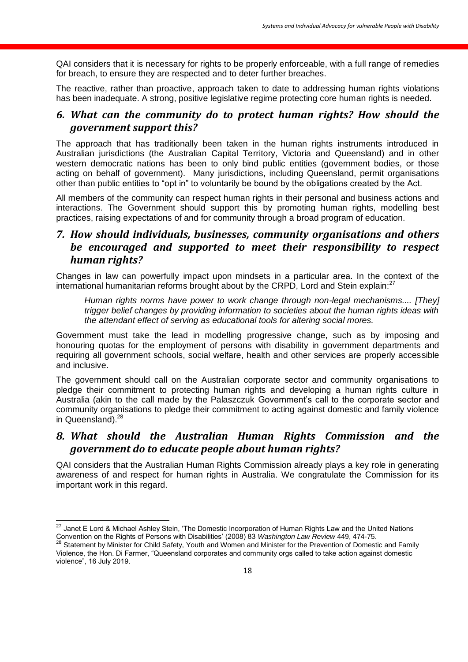QAI considers that it is necessary for rights to be properly enforceable, with a full range of remedies for breach, to ensure they are respected and to deter further breaches.

The reactive, rather than proactive, approach taken to date to addressing human rights violations has been inadequate. A strong, positive legislative regime protecting core human rights is needed.

## *6. What can the community do to protect human rights? How should the government support this?*

The approach that has traditionally been taken in the human rights instruments introduced in Australian jurisdictions (the Australian Capital Territory, Victoria and Queensland) and in other western democratic nations has been to only bind public entities (government bodies, or those acting on behalf of government). Many jurisdictions, including Queensland, permit organisations other than public entities to "opt in" to voluntarily be bound by the obligations created by the Act.

All members of the community can respect human rights in their personal and business actions and interactions. The Government should support this by promoting human rights, modelling best practices, raising expectations of and for community through a broad program of education.

## *7. How should individuals, businesses, community organisations and others be encouraged and supported to meet their responsibility to respect human rights?*

Changes in law can powerfully impact upon mindsets in a particular area. In the context of the international humanitarian reforms brought about by the CRPD, Lord and Stein explain:<sup>27</sup>

*Human rights norms have power to work change through non-legal mechanisms.... [They] trigger belief changes by providing information to societies about the human rights ideas with the attendant effect of serving as educational tools for altering social mores.*

Government must take the lead in modelling progressive change, such as by imposing and honouring quotas for the employment of persons with disability in government departments and requiring all government schools, social welfare, health and other services are properly accessible and inclusive.

The government should call on the Australian corporate sector and community organisations to pledge their commitment to protecting human rights and developing a human rights culture in Australia (akin to the call made by the Palaszczuk Government's call to the corporate sector and community organisations to pledge their commitment to acting against domestic and family violence in Queensland).<sup>28</sup>

## *8. What should the Australian Human Rights Commission and the government do to educate people about human rights?*

QAI considers that the Australian Human Rights Commission already plays a key role in generating awareness of and respect for human rights in Australia. We congratulate the Commission for its important work in this regard.

 $\overline{a}$  $^{27}$  Janet E Lord & Michael Ashley Stein, 'The Domestic Incorporation of Human Rights Law and the United Nations Convention on the Rights of Persons with Disabilities' (2008) 83 *Washington Law Review* 449, 474-75.

<sup>&</sup>lt;sup>28</sup> Statement by Minister for Child Safety, Youth and Women and Minister for the Prevention of Domestic and Family Violence, the Hon. Di Farmer, "Queensland corporates and community orgs called to take action against domestic violence", 16 July 2019.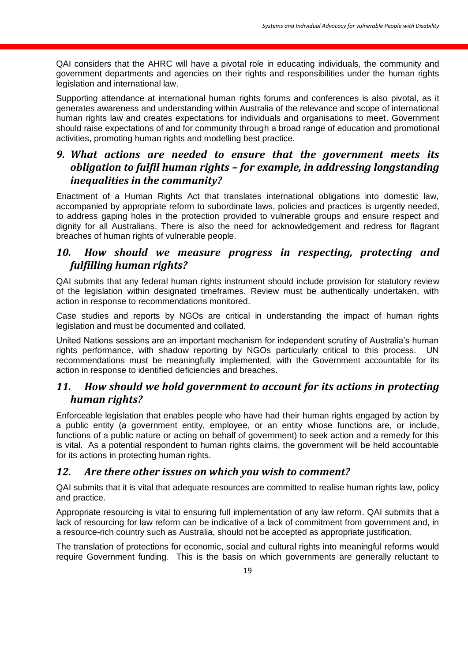QAI considers that the AHRC will have a pivotal role in educating individuals, the community and government departments and agencies on their rights and responsibilities under the human rights legislation and international law.

Supporting attendance at international human rights forums and conferences is also pivotal, as it generates awareness and understanding within Australia of the relevance and scope of international human rights law and creates expectations for individuals and organisations to meet. Government should raise expectations of and for community through a broad range of education and promotional activities, promoting human rights and modelling best practice.

## *9. What actions are needed to ensure that the government meets its obligation to fulfil human rights – for example, in addressing longstanding inequalities in the community?*

Enactment of a Human Rights Act that translates international obligations into domestic law, accompanied by appropriate reform to subordinate laws, policies and practices is urgently needed, to address gaping holes in the protection provided to vulnerable groups and ensure respect and dignity for all Australians. There is also the need for acknowledgement and redress for flagrant breaches of human rights of vulnerable people.

## *10. How should we measure progress in respecting, protecting and fulfilling human rights?*

QAI submits that any federal human rights instrument should include provision for statutory review of the legislation within designated timeframes. Review must be authentically undertaken, with action in response to recommendations monitored.

Case studies and reports by NGOs are critical in understanding the impact of human rights legislation and must be documented and collated.

United Nations sessions are an important mechanism for independent scrutiny of Australia's human rights performance, with shadow reporting by NGOs particularly critical to this process. UN recommendations must be meaningfully implemented, with the Government accountable for its action in response to identified deficiencies and breaches.

## *11. How should we hold government to account for its actions in protecting human rights?*

Enforceable legislation that enables people who have had their human rights engaged by action by a public entity (a government entity, employee, or an entity whose functions are, or include, functions of a public nature or acting on behalf of government) to seek action and a remedy for this is vital. As a potential respondent to human rights claims, the government will be held accountable for its actions in protecting human rights.

### *12. Are there other issues on which you wish to comment?*

QAI submits that it is vital that adequate resources are committed to realise human rights law, policy and practice.

Appropriate resourcing is vital to ensuring full implementation of any law reform. QAI submits that a lack of resourcing for law reform can be indicative of a lack of commitment from government and, in a resource-rich country such as Australia, should not be accepted as appropriate justification.

The translation of protections for economic, social and cultural rights into meaningful reforms would require Government funding. This is the basis on which governments are generally reluctant to